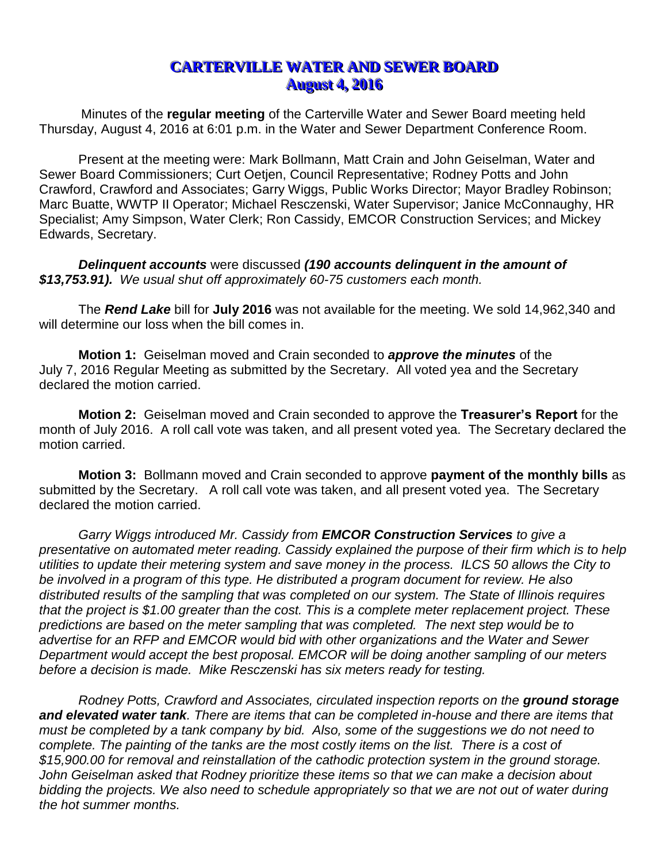## **CARTERVILLE WATER AND SEWER BOARD August 4, 2016**

Minutes of the **regular meeting** of the Carterville Water and Sewer Board meeting held Thursday, August 4, 2016 at 6:01 p.m. in the Water and Sewer Department Conference Room.

Present at the meeting were: Mark Bollmann, Matt Crain and John Geiselman, Water and Sewer Board Commissioners; Curt Oetjen, Council Representative; Rodney Potts and John Crawford, Crawford and Associates; Garry Wiggs, Public Works Director; Mayor Bradley Robinson; Marc Buatte, WWTP II Operator; Michael Resczenski, Water Supervisor; Janice McConnaughy, HR Specialist; Amy Simpson, Water Clerk; Ron Cassidy, EMCOR Construction Services; and Mickey Edwards, Secretary.

*Delinquent accounts* were discussed *(190 accounts delinquent in the amount of \$13,753.91). We usual shut off approximately 60-75 customers each month.* 

The *Rend Lake* bill for **July 2016** was not available for the meeting. We sold 14,962,340 and will determine our loss when the bill comes in.

**Motion 1:** Geiselman moved and Crain seconded to *approve the minutes* of the July 7, 2016 Regular Meeting as submitted by the Secretary. All voted yea and the Secretary declared the motion carried.

**Motion 2:** Geiselman moved and Crain seconded to approve the **Treasurer's Report** for the month of July 2016. A roll call vote was taken, and all present voted yea. The Secretary declared the motion carried.

**Motion 3:** Bollmann moved and Crain seconded to approve **payment of the monthly bills** as submitted by the Secretary. A roll call vote was taken, and all present voted yea. The Secretary declared the motion carried.

*Garry Wiggs introduced Mr. Cassidy from EMCOR Construction Services to give a presentative on automated meter reading. Cassidy explained the purpose of their firm which is to help utilities to update their metering system and save money in the process. ILCS 50 allows the City to be involved in a program of this type. He distributed a program document for review. He also distributed results of the sampling that was completed on our system. The State of Illinois requires that the project is \$1.00 greater than the cost. This is a complete meter replacement project. These predictions are based on the meter sampling that was completed. The next step would be to advertise for an RFP and EMCOR would bid with other organizations and the Water and Sewer Department would accept the best proposal. EMCOR will be doing another sampling of our meters before a decision is made. Mike Resczenski has six meters ready for testing.* 

*Rodney Potts, Crawford and Associates, circulated inspection reports on the ground storage and elevated water tank. There are items that can be completed in-house and there are items that must be completed by a tank company by bid. Also, some of the suggestions we do not need to*  complete. The painting of the tanks are the most costly items on the list. There is a cost of *\$15,900.00 for removal and reinstallation of the cathodic protection system in the ground storage. John Geiselman asked that Rodney prioritize these items so that we can make a decision about bidding the projects. We also need to schedule appropriately so that we are not out of water during the hot summer months.*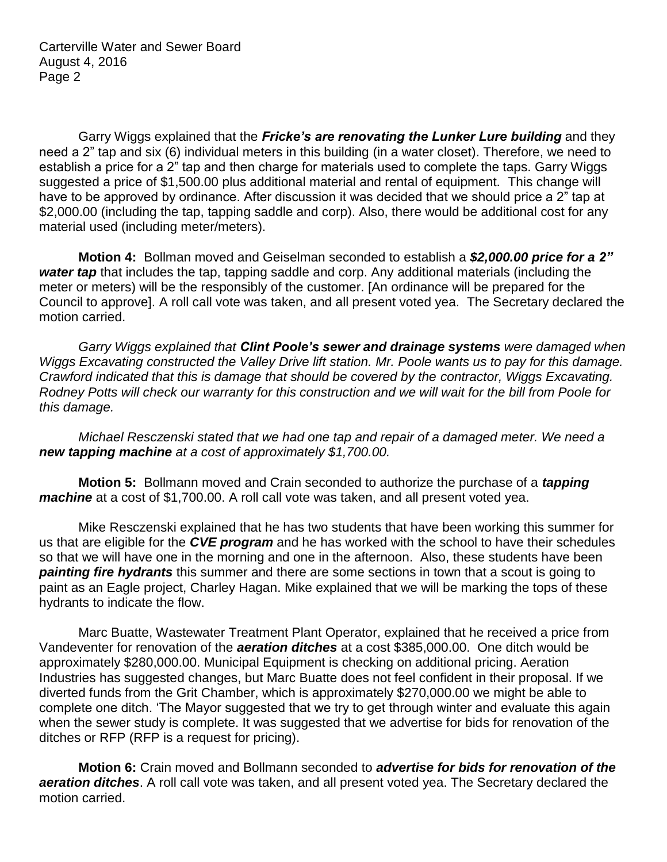Garry Wiggs explained that the *Fricke's are renovating the Lunker Lure building* and they need a 2" tap and six (6) individual meters in this building (in a water closet). Therefore, we need to establish a price for a 2" tap and then charge for materials used to complete the taps. Garry Wiggs suggested a price of \$1,500.00 plus additional material and rental of equipment. This change will have to be approved by ordinance. After discussion it was decided that we should price a 2" tap at \$2,000.00 (including the tap, tapping saddle and corp). Also, there would be additional cost for any material used (including meter/meters).

**Motion 4:** Bollman moved and Geiselman seconded to establish a *\$2,000.00 price for a 2" water tap* that includes the tap, tapping saddle and corp. Any additional materials (including the meter or meters) will be the responsibly of the customer. [An ordinance will be prepared for the Council to approve]. A roll call vote was taken, and all present voted yea. The Secretary declared the motion carried.

*Garry Wiggs explained that Clint Poole's sewer and drainage systems were damaged when Wiggs Excavating constructed the Valley Drive lift station. Mr. Poole wants us to pay for this damage. Crawford indicated that this is damage that should be covered by the contractor, Wiggs Excavating. Rodney Potts will check our warranty for this construction and we will wait for the bill from Poole for this damage.*

*Michael Resczenski stated that we had one tap and repair of a damaged meter. We need a new tapping machine at a cost of approximately \$1,700.00.* 

**Motion 5:** Bollmann moved and Crain seconded to authorize the purchase of a *tapping machine* at a cost of \$1,700.00. A roll call vote was taken, and all present voted yea.

Mike Resczenski explained that he has two students that have been working this summer for us that are eligible for the *CVE program* and he has worked with the school to have their schedules so that we will have one in the morning and one in the afternoon. Also, these students have been *painting fire hydrants* this summer and there are some sections in town that a scout is going to paint as an Eagle project, Charley Hagan. Mike explained that we will be marking the tops of these hydrants to indicate the flow.

Marc Buatte, Wastewater Treatment Plant Operator, explained that he received a price from Vandeventer for renovation of the *aeration ditches* at a cost \$385,000.00. One ditch would be approximately \$280,000.00. Municipal Equipment is checking on additional pricing. Aeration Industries has suggested changes, but Marc Buatte does not feel confident in their proposal. If we diverted funds from the Grit Chamber, which is approximately \$270,000.00 we might be able to complete one ditch. 'The Mayor suggested that we try to get through winter and evaluate this again when the sewer study is complete. It was suggested that we advertise for bids for renovation of the ditches or RFP (RFP is a request for pricing).

**Motion 6:** Crain moved and Bollmann seconded to *advertise for bids for renovation of the aeration ditches*. A roll call vote was taken, and all present voted yea. The Secretary declared the motion carried.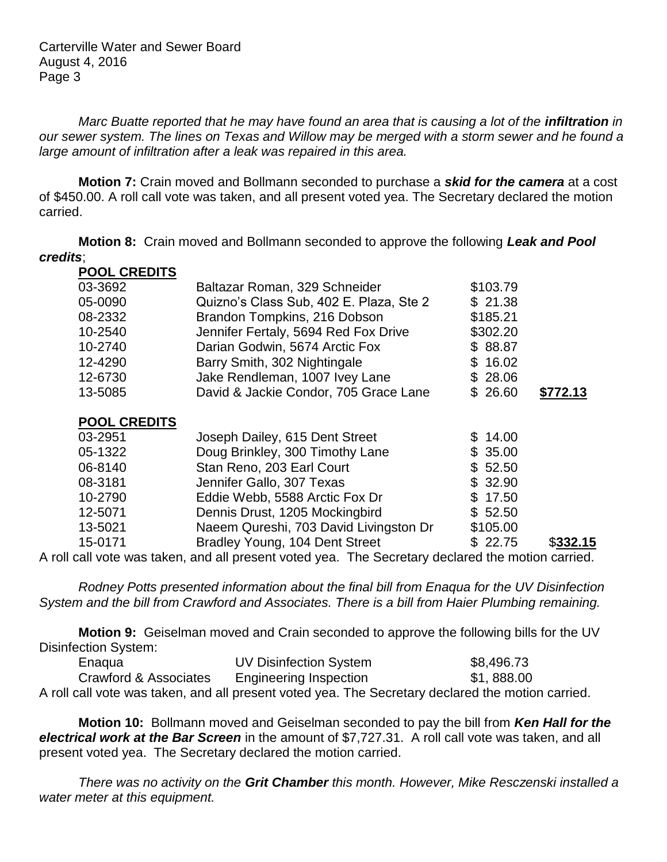Carterville Water and Sewer Board August 4, 2016 Page 3

*Marc Buatte reported that he may have found an area that is causing a lot of the infiltration in our sewer system. The lines on Texas and Willow may be merged with a storm sewer and he found a large amount of infiltration after a leak was repaired in this area.*

**Motion 7:** Crain moved and Bollmann seconded to purchase a *skid for the camera* at a cost of \$450.00. A roll call vote was taken, and all present voted yea. The Secretary declared the motion carried.

**Motion 8:** Crain moved and Bollmann seconded to approve the following *Leak and Pool credits*;

| <b>POOL CREDITS</b> |                                         |          |          |
|---------------------|-----------------------------------------|----------|----------|
| 03-3692             | Baltazar Roman, 329 Schneider           | \$103.79 |          |
| 05-0090             | Quizno's Class Sub, 402 E. Plaza, Ste 2 | \$21.38  |          |
| 08-2332             | Brandon Tompkins, 216 Dobson            | \$185.21 |          |
| 10-2540             | Jennifer Fertaly, 5694 Red Fox Drive    | \$302.20 |          |
| 10-2740             | Darian Godwin, 5674 Arctic Fox          | \$88.87  |          |
| 12-4290             | Barry Smith, 302 Nightingale            | \$16.02  |          |
| 12-6730             | Jake Rendleman, 1007 Ivey Lane          | \$28.06  |          |
| 13-5085             | David & Jackie Condor, 705 Grace Lane   | \$26.60  | \$772.13 |
|                     |                                         |          |          |

## **POOL CREDITS**

| 03-2951 | Joseph Dailey, 615 Dent Street         | \$14.00  |          |
|---------|----------------------------------------|----------|----------|
| 05-1322 | Doug Brinkley, 300 Timothy Lane        | \$35.00  |          |
| 06-8140 | Stan Reno, 203 Earl Court              | \$52.50  |          |
| 08-3181 | Jennifer Gallo, 307 Texas              | \$32.90  |          |
| 10-2790 | Eddie Webb, 5588 Arctic Fox Dr         | \$17.50  |          |
| 12-5071 | Dennis Drust, 1205 Mockingbird         | \$52.50  |          |
| 13-5021 | Naeem Qureshi, 703 David Livingston Dr | \$105.00 |          |
| 15-0171 | Bradley Young, 104 Dent Street         | \$22.75  | \$332.15 |
|         |                                        |          |          |

A roll call vote was taken, and all present voted yea. The Secretary declared the motion carried.

*Rodney Potts presented information about the final bill from Enaqua for the UV Disinfection System and the bill from Crawford and Associates. There is a bill from Haier Plumbing remaining.* 

**Motion 9:** Geiselman moved and Crain seconded to approve the following bills for the UV Disinfection System:

| Enagua                | <b>UV Disinfection System</b> | \$8,496.73                                                                                        |
|-----------------------|-------------------------------|---------------------------------------------------------------------------------------------------|
| Crawford & Associates | <b>Engineering Inspection</b> | \$1,888.00                                                                                        |
|                       |                               | A roll call vote was taken, and all present voted yea. The Secretary declared the motion carried. |

**Motion 10:** Bollmann moved and Geiselman seconded to pay the bill from *Ken Hall for the electrical work at the Bar Screen* in the amount of \$7,727.31. A roll call vote was taken, and all present voted yea. The Secretary declared the motion carried.

*There was no activity on the Grit Chamber this month. However, Mike Resczenski installed a water meter at this equipment.*